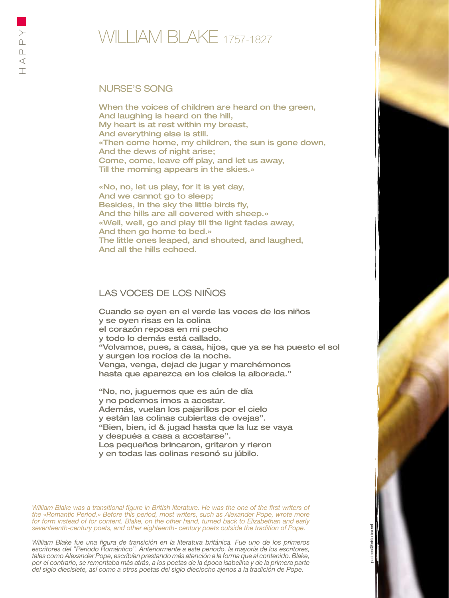## Nurse's Song

When the voices of children are heard on the green, And laughing is heard on the hill, My heart is at rest within my breast, And everything else is still. «Then come home, my children, the sun is gone down, And the dews of night arise; Come, come, leave off play, and let us away, Till the morning appears in the skies.»

«No, no, let us play, for it is yet day, And we cannot go to sleep; Besides, in the sky the little birds fly, And the hills are all covered with sheep.» «Well, well, go and play till the light fades away, And then go home to bed.» The little ones leaped, and shouted, and laughed, And all the hills echoed.

## LAS VOCES DE LOS NIÑOS

Cuando se oyen en el verde las voces de los niños y se oyen risas en la colina el corazón reposa en mi pecho y todo lo demás está callado. "Volvamos, pues, a casa, hijos, que ya se ha puesto el sol y surgen los rocíos de la noche. Venga, venga, dejad de jugar y marchémonos hasta que aparezca en los cielos la alborada."

"No, no, juguemos que es aún de día y no podemos irnos a acostar. Además, vuelan los pajarillos por el cielo y están las colinas cubiertas de ovejas". "Bien, bien, id & jugad hasta que la luz se vaya y después a casa a acostarse". Los pequeños brincaron, gritaron y rieron y en todas las colinas resonó su júbilo.

*William Blake was a transitional figure in British literature. He was the one of the first writers of the «Romantic Period.» Before this period, most writers, such as Alexander Pope, wrote more for form instead of for content. Blake, on the other hand, turned back to Elizabethan and early seventeenth-century poets, and other eighteenth- century poets outside the tradition of Pope.*

*William Blake fue una figura de transición en la literatura británica. Fue uno de los primeros escritores del "Periodo Romántico". Anteriormente a este periodo, la mayoría de los escritores, tales como Alexander Pope, escribían prestando más atención a la forma que al contenido. Blake, por el contrario, se remontaba más atrás, a los poetas de la época isabelina y de la primera parte del siglo diecisiete, así como a otros poetas del siglo dieciocho ajenos a la tradición de Pope.*